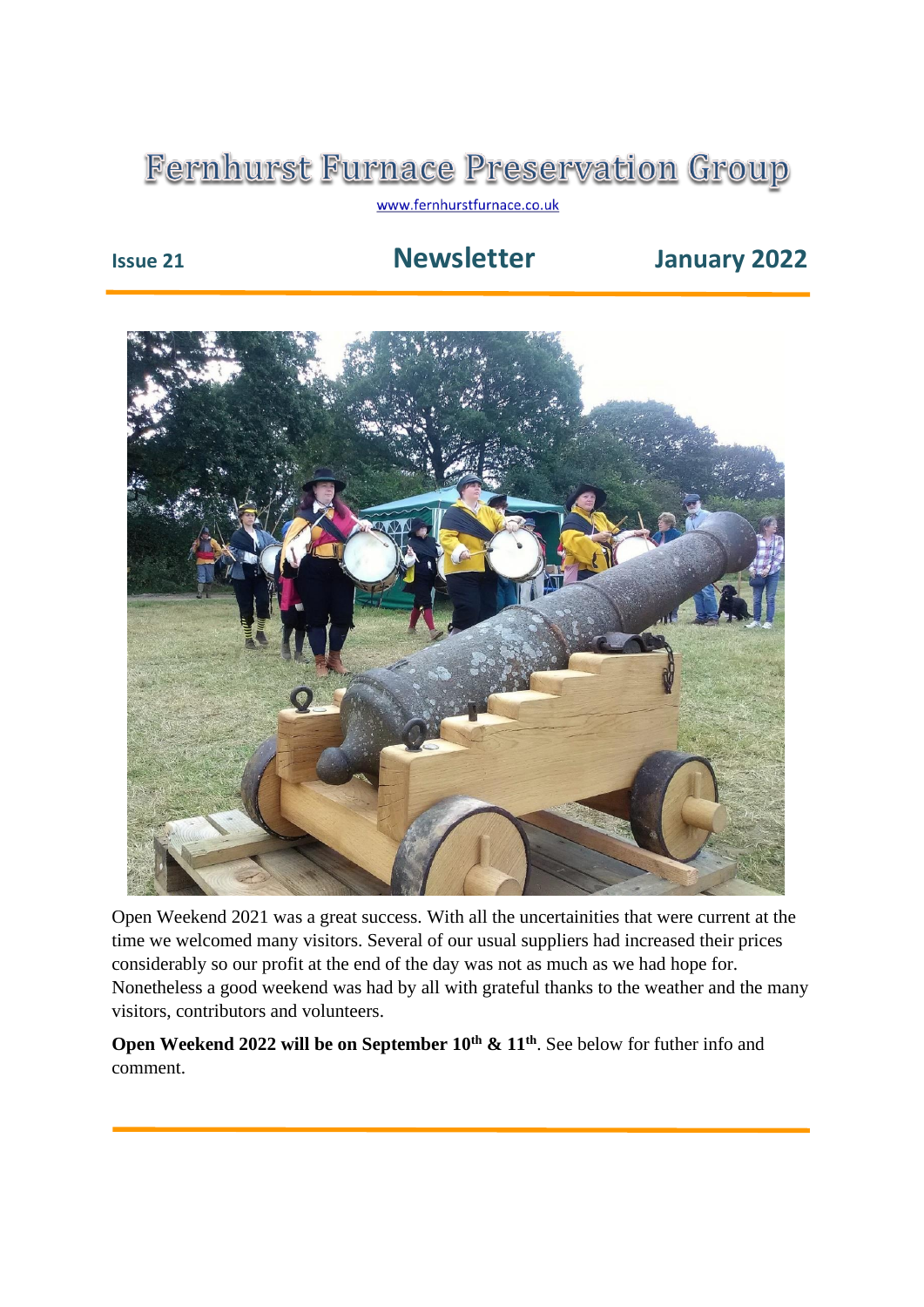## **Fernhurst Furnace Preservation Group**

www.fernhurstfurnace.co.uk

## **Issue 21 Newsletter January 2022**



Open Weekend 2021 was a great success. With all the uncertainities that were current at the time we welcomed many visitors. Several of our usual suppliers had increased their prices considerably so our profit at the end of the day was not as much as we had hope for. Nonetheless a good weekend was had by all with grateful thanks to the weather and the many visitors, contributors and volunteers.

**Open Weekend 2022 will be on September 10th & 11th**. See below for futher info and comment.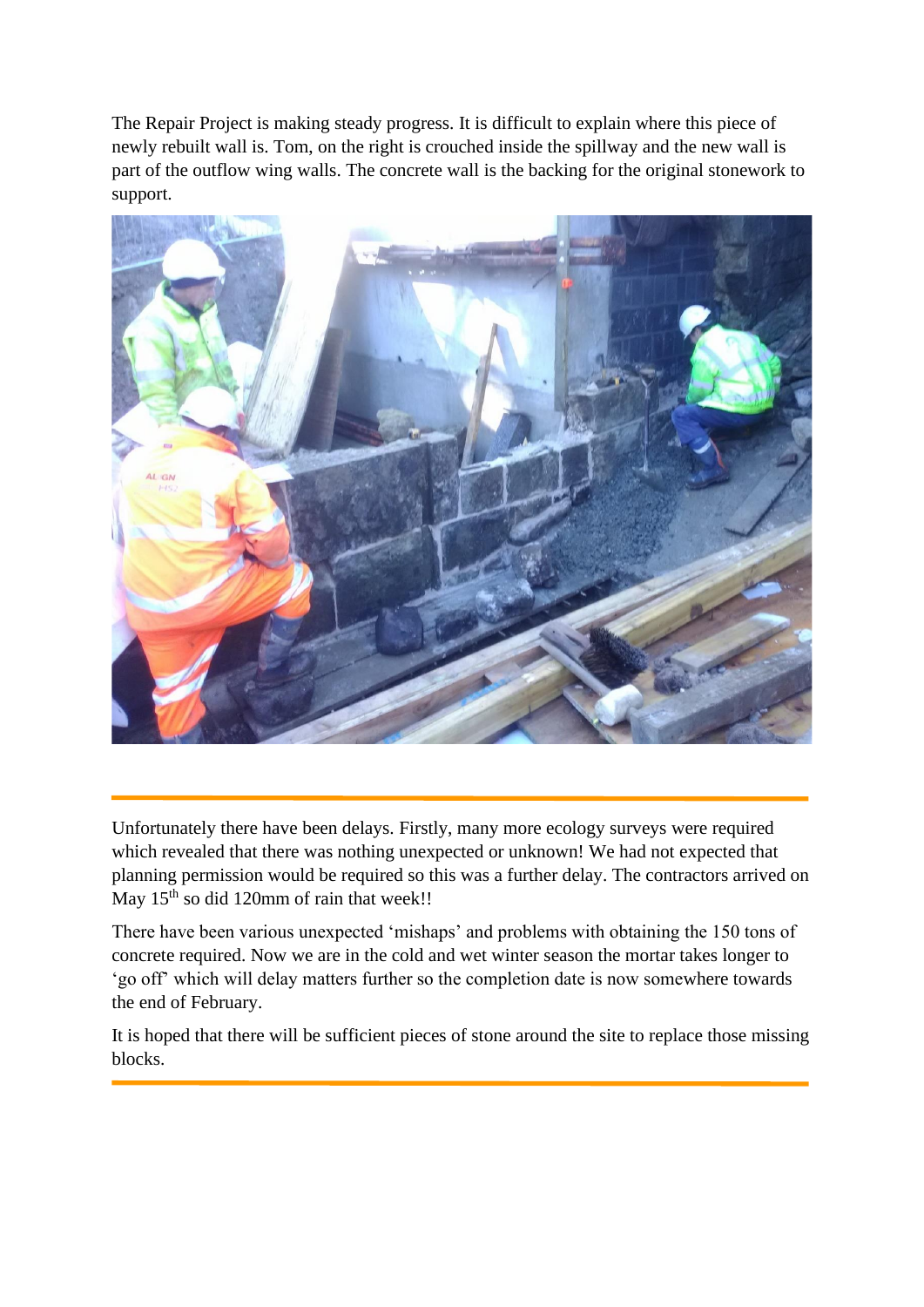The Repair Project is making steady progress. It is difficult to explain where this piece of newly rebuilt wall is. Tom, on the right is crouched inside the spillway and the new wall is part of the outflow wing walls. The concrete wall is the backing for the original stonework to support.



Unfortunately there have been delays. Firstly, many more ecology surveys were required which revealed that there was nothing unexpected or unknown! We had not expected that planning permission would be required so this was a further delay. The contractors arrived on May 15<sup>th</sup> so did 120mm of rain that week!!

There have been various unexpected 'mishaps' and problems with obtaining the 150 tons of concrete required. Now we are in the cold and wet winter season the mortar takes longer to 'go off' which will delay matters further so the completion date is now somewhere towards the end of February.

It is hoped that there will be sufficient pieces of stone around the site to replace those missing blocks.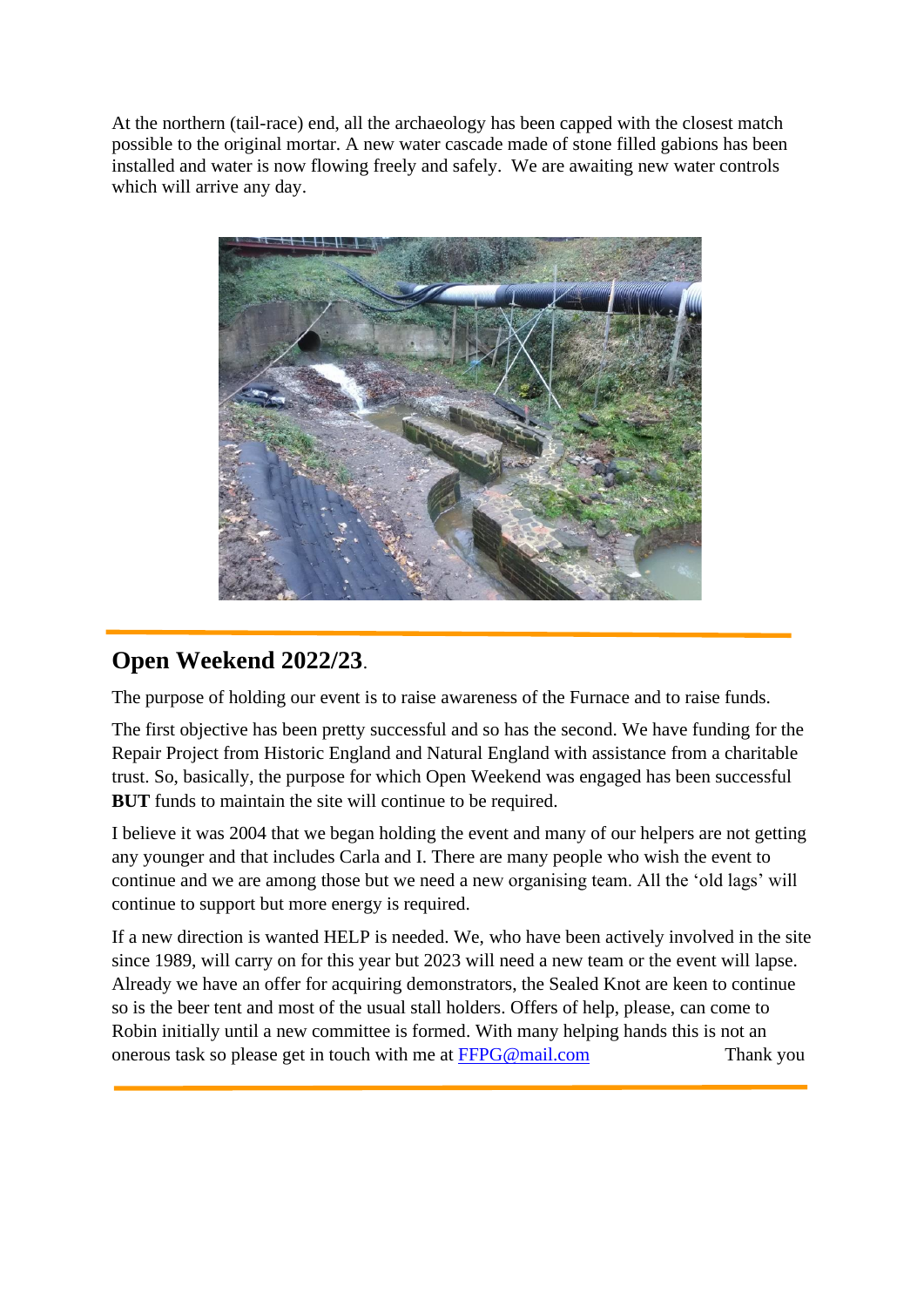At the northern (tail-race) end, all the archaeology has been capped with the closest match possible to the original mortar. A new water cascade made of stone filled gabions has been installed and water is now flowing freely and safely. We are awaiting new water controls which will arrive any day.



## **Open Weekend 2022/23**.

L

The purpose of holding our event is to raise awareness of the Furnace and to raise funds.

The first objective has been pretty successful and so has the second. We have funding for the Repair Project from Historic England and Natural England with assistance from a charitable trust. So, basically, the purpose for which Open Weekend was engaged has been successful **BUT** funds to maintain the site will continue to be required.

I believe it was 2004 that we began holding the event and many of our helpers are not getting any younger and that includes Carla and I. There are many people who wish the event to continue and we are among those but we need a new organising team. All the 'old lags' will continue to support but more energy is required.

If a new direction is wanted HELP is needed. We, who have been actively involved in the site since 1989, will carry on for this year but 2023 will need a new team or the event will lapse. Already we have an offer for acquiring demonstrators, the Sealed Knot are keen to continue so is the beer tent and most of the usual stall holders. Offers of help, please, can come to Robin initially until a new committee is formed. With many helping hands this is not an onerous task so please get in touch with me at [FFPG@mail.com](mailto:FFPG@mail.com) Thank you